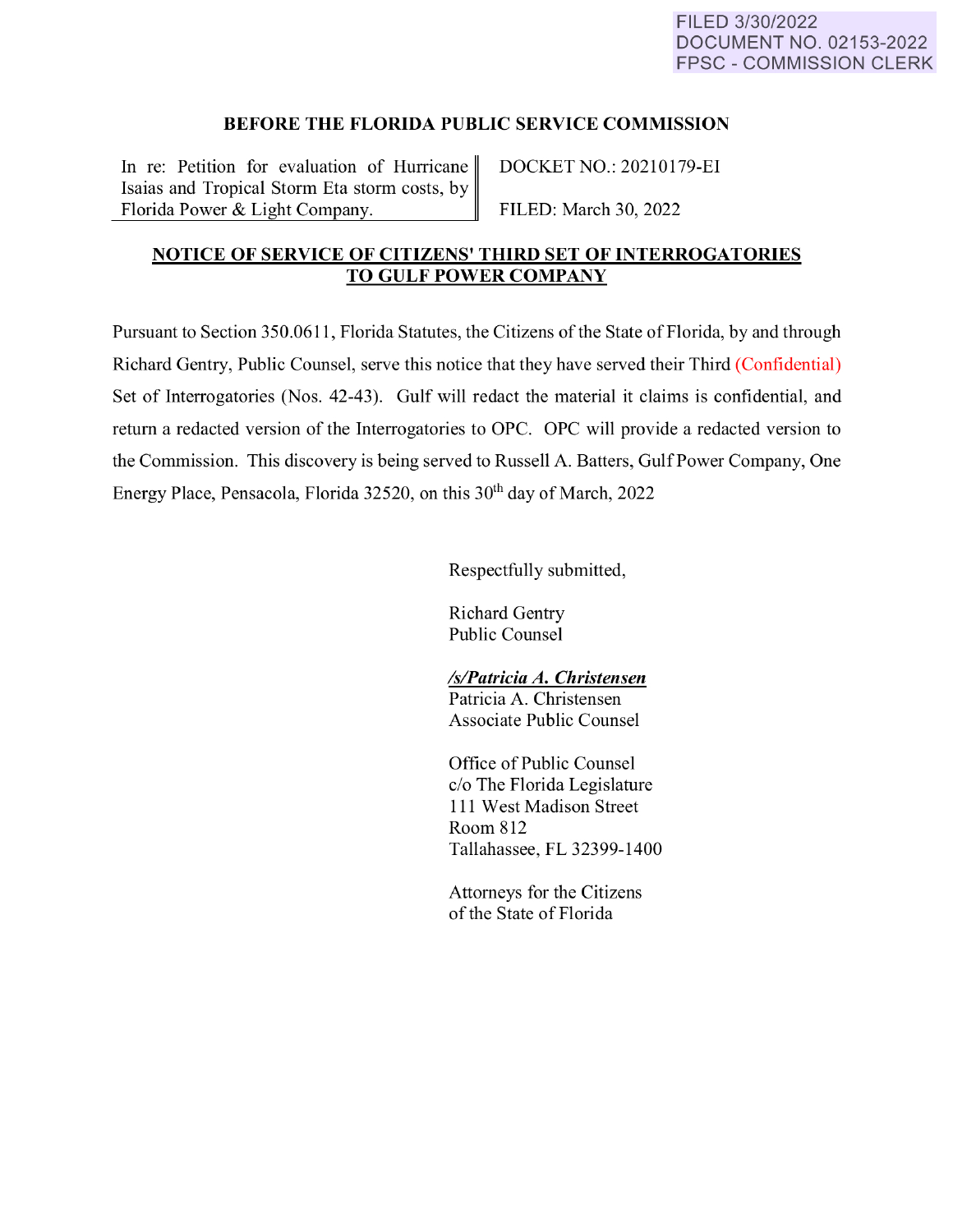## **BEFORE THE FLORIDA PUBLIC SERVICE COMMISSION**

In re: Petition for evaluation of Hurricane DOCKET NO.: 20210179-EI Isaias and Tropical Storm Eta storm costs, by Florida Power & Light Company. FILED: March 30, 2022

## **NOTICE OF SERVICE OF CITIZENS' THIRD SET OF INTERROGATORIES TO GULF POWER COMPANY**

Pursuant to Section 350.0611 , Florida Statutes, the Citizens of the State of Florida, by and through Richard Gentry, Public Counsel, serve this notice that they have served their Third (Confidential) Set of Interrogatories (Nos. 42-43). Gulf will redact the material it claims is confidential, and return a redacted version of the Interrogatories to OPC. OPC will provide a redacted version to the Commission. This discovery is being served to Russell A. Batters, Gulf Power Company, One Energy Place, Pensacola, Florida 32520, on this 30<sup>th</sup> day of March, 2022

Respectfully submitted,

Richard Gentry Public Counsel

## *ls/Patricia A. Christensen*

Patricia A. Christensen Associate Public Counsel

Office of Public Counsel c/o The Florida Legislature 111 West Madison Street Room 812 Tallahassee, FL 32399-1400

Attorneys for the Citizens of the State of Florida